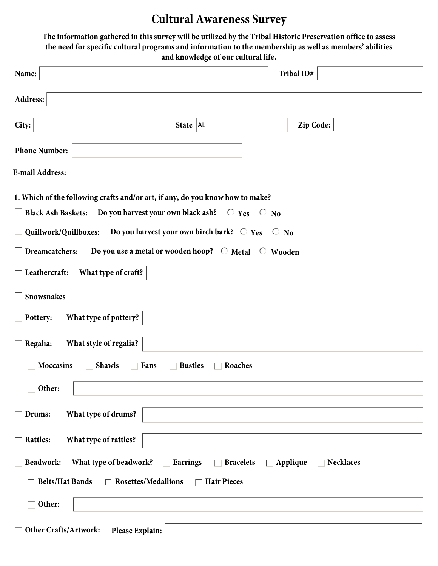## **Cultural Awareness Survey**

| The information gathered in this survey will be utilized by the Tribal Historic Preservation office to assess<br>the need for specific cultural programs and information to the membership as well as members' abilities<br>and knowledge of our cultural life. |
|-----------------------------------------------------------------------------------------------------------------------------------------------------------------------------------------------------------------------------------------------------------------|
| Tribal ID#<br>Name:                                                                                                                                                                                                                                             |
| Address:                                                                                                                                                                                                                                                        |
| City:<br>Zip Code:<br>State $ AL$                                                                                                                                                                                                                               |
| <b>Phone Number:</b>                                                                                                                                                                                                                                            |
| <b>E-mail Address:</b>                                                                                                                                                                                                                                          |
| 1. Which of the following crafts and/or art, if any, do you know how to make?                                                                                                                                                                                   |
| $\Box$ Black Ash Baskets: Do you harvest your own black ash? $\Box$ Yes $\Box$ No                                                                                                                                                                               |
| Do you harvest your own birch bark? $\circ$ Yes $\circ$ No<br>$\Box$ Quillwork/Quillboxes:                                                                                                                                                                      |
| Do you use a metal or wooden hoop? $\circ$ Metal $\circ$ Wooden<br>$\Box$ Dreamcatchers:                                                                                                                                                                        |
| What type of craft?<br>$\Box$ Leathercraft:                                                                                                                                                                                                                     |
| $\Box$ Snowsnakes                                                                                                                                                                                                                                               |
| What type of pottery?<br>$\Box$ Pottery:                                                                                                                                                                                                                        |
| What style of regalia?<br>$\Box$ Regalia:                                                                                                                                                                                                                       |
| <b>Moccasins</b><br><b>Shawls</b><br>$\Box$ Fans<br><b>Bustles</b><br>Roaches<br>$\mathbf{L}$                                                                                                                                                                   |
| $\overline{\phantom{a}}$ Other:                                                                                                                                                                                                                                 |
| What type of drums?<br>Drums:                                                                                                                                                                                                                                   |
| What type of rattles?<br>$\overline{\phantom{a}}$ Rattles:                                                                                                                                                                                                      |
|                                                                                                                                                                                                                                                                 |
| What type of beadwork? $\Box$ Earrings $\Box$ Bracelets<br>Beadwork:<br>$\Box$ Applique<br><b>Necklaces</b>                                                                                                                                                     |
| <b>Belts/Hat Bands</b><br>$\Box$ Rosettes/Medallions $\Box$ Hair Pieces                                                                                                                                                                                         |
| $\overline{\phantom{a}}$ Other:                                                                                                                                                                                                                                 |
| Other Crafts/Artwork:<br>Please Explain:                                                                                                                                                                                                                        |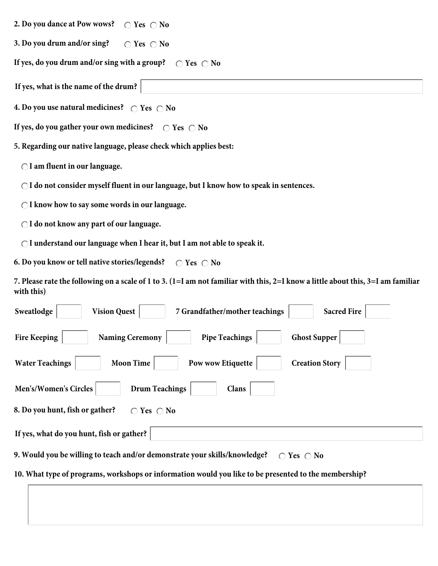- **2. Do you dance at Pow wows?**  $\bigcirc$  Yes  $\bigcirc$  No
- **Yes No 3. Do you drum and/or sing?**

If yes, do you drum and/or sing with a group?  $\;\;\subset\;$  Yes  $\;\subset\;$  No

**If yes, what is the name of the drum?**

**Yes No 4. Do you use natural medicines?**

**Yes No If yes, do you gather your own medicines?**

**5. Regarding our native language, please check which applies best:**

**I am fluent in our language.**

**I do not consider myself fluent in our language, but I know how to speak in sentences.**

**I know how to say some words in our language.**

**I do not know any part of our language.**

**I understand our language when I hear it, but I am not able to speak it.**

**No Yes** ∧ **No 6. Do you know or tell native stories/legends?**

**7. Please rate the following on a scale of 1 to 3. (1=I am not familiar with this, 2=I know a little about this, 3=I am familiar with this)**

| 7 Grandfather/mother teachings<br><b>Sacred Fire</b><br>Sweatlodge<br><b>Vision Quest</b>                |  |  |
|----------------------------------------------------------------------------------------------------------|--|--|
| <b>Naming Ceremony</b><br><b>Pipe Teachings</b><br><b>Ghost Supper</b><br><b>Fire Keeping</b>            |  |  |
| <b>Water Teachings</b><br><b>Creation Story</b><br><b>Moon Time</b><br>Pow wow Etiquette                 |  |  |
| <b>Drum Teachings</b><br>Men's/Women's Circles<br>Clans                                                  |  |  |
| 8. Do you hunt, fish or gather?<br>Yes $\bigcap$ No                                                      |  |  |
| If yes, what do you hunt, fish or gather?                                                                |  |  |
| 9. Would you be willing to teach and/or demonstrate your skills/knowledge?<br>Yes $\bigcap$ No<br>$\cap$ |  |  |
| 10. What type of programs, workshops or information would you like to be presented to the membership?    |  |  |